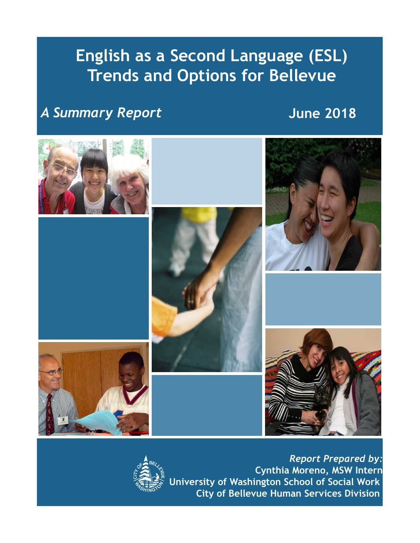# **English as a Second Language (ESL) Trends and Options for Bellevue**

## *A Summary Report*

**June 2018**





*Report Prepared by:* **Cynthia Moreno, MSW Intern University of Washington School of Social Work City of Bellevue Human Services Division**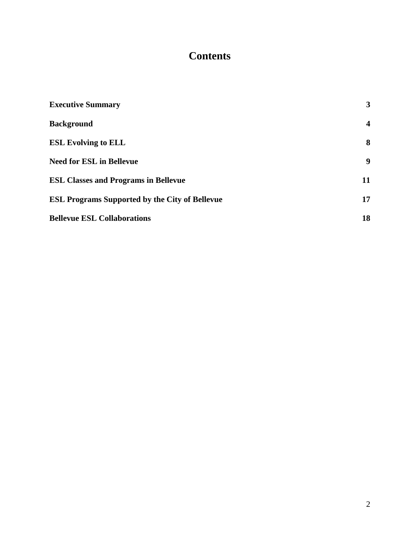## **Contents**

| <b>Executive Summary</b>                              | 3                       |
|-------------------------------------------------------|-------------------------|
| <b>Background</b>                                     | $\overline{\mathbf{4}}$ |
| <b>ESL Evolving to ELL</b>                            | 8                       |
| <b>Need for ESL in Bellevue</b>                       | 9                       |
| <b>ESL Classes and Programs in Bellevue</b>           | 11                      |
| <b>ESL Programs Supported by the City of Bellevue</b> | 17                      |
| <b>Bellevue ESL Collaborations</b>                    | 18                      |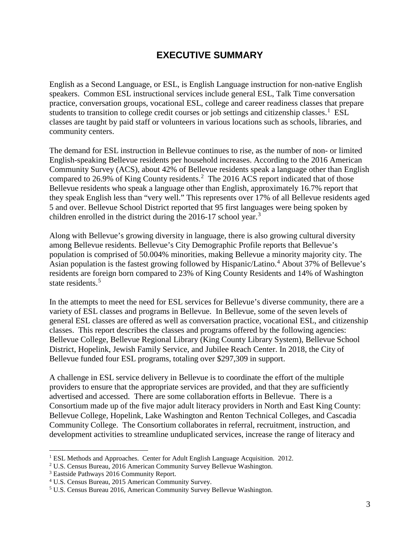## **EXECUTIVE SUMMARY**

English as a Second Language, or ESL, is English Language instruction for non-native English speakers. Common ESL instructional services include general ESL, Talk Time conversation practice, conversation groups, vocational ESL, college and career readiness classes that prepare students to transition to college credit courses or job settings and citizenship classes.<sup>[1](#page-2-0)</sup> ESL classes are taught by paid staff or volunteers in various locations such as schools, libraries, and community centers.

The demand for ESL instruction in Bellevue continues to rise, as the number of non- or limited English-speaking Bellevue residents per household increases. According to the 2016 American Community Survey (ACS), about 42% of Bellevue residents speak a language other than English compared to 26.9% of King County residents. [2](#page-2-1) The 2016 ACS report indicated that of those Bellevue residents who speak a language other than English, approximately 16.7% report that they speak English less than "very well." This represents over 17% of all Bellevue residents aged 5 and over. Bellevue School District reported that 95 first languages were being spoken by children enrolled in the district during the 2016-17 school year.<sup>[3](#page-2-2)</sup>

Along with Bellevue's growing diversity in language, there is also growing cultural diversity among Bellevue residents. Bellevue's City Demographic Profile reports that Bellevue's population is comprised of 50.004% minorities, making Bellevue a minority majority city. The Asian population is the fastest growing followed by Hispanic/Latino. [4](#page-2-3) About 37% of Bellevue's residents are foreign born compared to 23% of King County Residents and 14% of Washington state residents. [5](#page-2-4)

In the attempts to meet the need for ESL services for Bellevue's diverse community, there are a variety of ESL classes and programs in Bellevue. In Bellevue, some of the seven levels of general ESL classes are offered as well as conversation practice, vocational ESL, and citizenship classes. This report describes the classes and programs offered by the following agencies: Bellevue College, Bellevue Regional Library (King County Library System), Bellevue School District, Hopelink, Jewish Family Service, and Jubilee Reach Center. In 2018, the City of Bellevue funded four ESL programs, totaling over \$297,309 in support.

A challenge in ESL service delivery in Bellevue is to coordinate the effort of the multiple providers to ensure that the appropriate services are provided, and that they are sufficiently advertised and accessed. There are some collaboration efforts in Bellevue. There is a Consortium made up of the five major adult literacy providers in North and East King County: Bellevue College, Hopelink, Lake Washington and Renton Technical Colleges, and Cascadia Community College. The Consortium collaborates in referral, recruitment, instruction, and development activities to streamline unduplicated services, increase the range of literacy and

<sup>&</sup>lt;sup>1</sup> ESL Methods and Approaches. Center for Adult English Language Acquisition. 2012.

<span id="page-2-1"></span><span id="page-2-0"></span><sup>2</sup> U.S. Census Bureau, 2016 American Community Survey Bellevue Washington.

<span id="page-2-2"></span><sup>3</sup> Eastside Pathways 2016 Community Report.

<span id="page-2-4"></span><span id="page-2-3"></span>

<sup>&</sup>lt;sup>4</sup> U.S. Census Bureau, 2015 American Community Survey.<br><sup>5</sup> U.S. Census Bureau 2016, American Community Survey Bellevue Washington.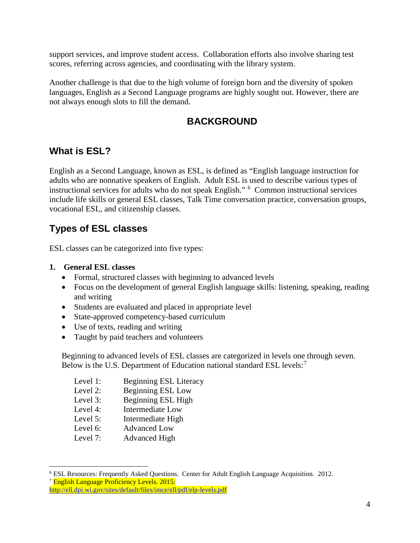support services, and improve student access. Collaboration efforts also involve sharing test scores, referring across agencies, and coordinating with the library system.

Another challenge is that due to the high volume of foreign born and the diversity of spoken languages, English as a Second Language programs are highly sought out. However, there are not always enough slots to fill the demand.

## **BACKGROUND**

### **What is ESL?**

English as a Second Language, known as ESL, is defined as "English language instruction for adults who are nonnative speakers of English. Adult ESL is used to describe various types of instructional services for adults who do not speak English." [6](#page-3-0) Common instructional services include life skills or general ESL classes, Talk Time conversation practice, conversation groups, vocational ESL, and citizenship classes.

## **Types of ESL classes**

ESL classes can be categorized into five types:

- **1. General ESL classes**
	- Formal, structured classes with beginning to advanced levels
	- Focus on the development of general English language skills: listening, speaking, reading and writing
	- Students are evaluated and placed in appropriate level
	- State-approved competency-based curriculum
	- Use of texts, reading and writing
	- Taught by paid teachers and volunteers

Beginning to advanced levels of ESL classes are categorized in levels one through seven. Below is the U.S. Department of Education national standard ESL levels:<sup>[7](#page-3-1)</sup>

- Level 1: Beginning ESL Literacy
- Level 2: Beginning ESL Low
- Level 3: Beginning ESL High
- Level 4: Intermediate Low
- Level 5: Intermediate High
- 
- Level 6: Advanced Low<br>Level 7: Advanced High Advanced High

<span id="page-3-0"></span> <sup>6</sup> ESL Resources: Frequently Asked Questions. Center for Adult English Language Acquisition. 2012.

<span id="page-3-1"></span><sup>&</sup>lt;sup>7</sup> English Language Proficiency Levels. 2015:

<http://ell.dpi.wi.gov/sites/default/files/imce/ell/pdf/elp-levels.pdf>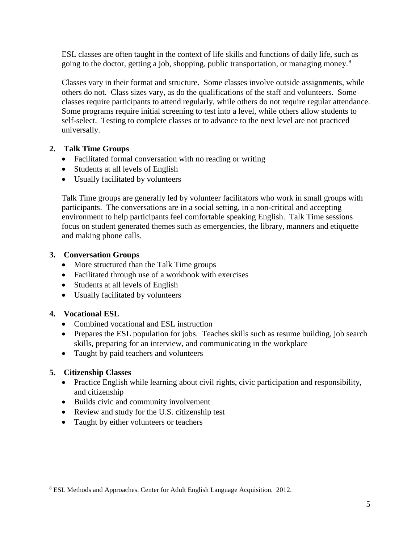ESL classes are often taught in the context of life skills and functions of daily life, such as going to the doctor, getting a job, shopping, public transportation, or managing money.<sup>[8](#page-4-0)</sup>

Classes vary in their format and structure. Some classes involve outside assignments, while others do not. Class sizes vary, as do the qualifications of the staff and volunteers. Some classes require participants to attend regularly, while others do not require regular attendance. Some programs require initial screening to test into a level, while others allow students to self-select. Testing to complete classes or to advance to the next level are not practiced universally.

#### **2. Talk Time Groups**

- Facilitated formal conversation with no reading or writing
- Students at all levels of English
- Usually facilitated by volunteers

Talk Time groups are generally led by volunteer facilitators who work in small groups with participants. The conversations are in a social setting, in a non-critical and accepting environment to help participants feel comfortable speaking English. Talk Time sessions focus on student generated themes such as emergencies, the library, manners and etiquette and making phone calls.

#### **3. Conversation Groups**

- More structured than the Talk Time groups
- Facilitated through use of a workbook with exercises
- Students at all levels of English
- Usually facilitated by volunteers

#### **4. Vocational ESL**

- Combined vocational and ESL instruction
- Prepares the ESL population for jobs. Teaches skills such as resume building, job search skills, preparing for an interview, and communicating in the workplace
- Taught by paid teachers and volunteers

#### **5. Citizenship Classes**

- Practice English while learning about civil rights, civic participation and responsibility, and citizenship
- Builds civic and community involvement
- Review and study for the U.S. citizenship test
- Taught by either volunteers or teachers

<span id="page-4-0"></span> <sup>8</sup> ESL Methods and Approaches. Center for Adult English Language Acquisition. 2012.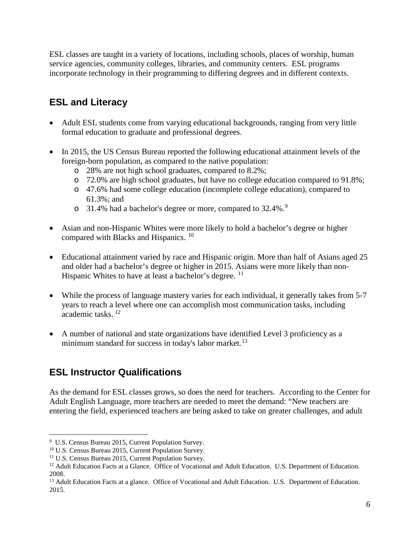ESL classes are taught in a variety of locations, including schools, places of worship, human service agencies, community colleges, libraries, and community centers. ESL programs incorporate technology in their programming to differing degrees and in different contexts.

## **ESL and Literacy**

- Adult ESL students come from varying educational backgrounds, ranging from very little formal education to graduate and professional degrees.
- In 2015, the US Census Bureau reported the following educational attainment levels of the foreign-born population, as compared to the native population:
	- o 28% are not high school graduates, compared to 8.2%;
	- o 72.0% are high school graduates, but have no college education compared to 91.8%;
	- o 47.6% had some college education (incomplete college education), compared to 61.3%; and
	- o 31.4% had a bachelor's degree or more, compared to 32.4%.<sup>[9](#page-5-0)</sup>
- Asian and non-Hispanic Whites were more likely to hold a bachelor's degree or higher compared with Blacks and Hispanics. [10](#page-5-1)
- Educational attainment varied by race and Hispanic origin. More than half of Asians aged 25 and older had a bachelor's degree or higher in 2015. Asians were more likely than non-Hispanic Whites to have at least a bachelor's degree. <sup>[11](#page-5-2)</sup>
- While the process of language mastery varies for each individual, it generally takes from 5-7 years to reach a level where one can accomplish most communication tasks, including academic tasks.<sup>[12](#page-5-3)</sup>
- A number of national and state organizations have identified Level 3 proficiency as a minimum standard for success in today's labor market.<sup>[13](#page-5-4)</sup>

## **ESL Instructor Qualifications**

As the demand for ESL classes grows, so does the need for teachers. According to the Center for Adult English Language, more teachers are needed to meet the demand: "New teachers are entering the field, experienced teachers are being asked to take on greater challenges, and adult

<span id="page-5-0"></span> <sup>9</sup> U.S. Census Bureau 2015, Current Population Survey.

<span id="page-5-1"></span><sup>10</sup> U.S. Census Bureau 2015, Current Population Survey.

<span id="page-5-2"></span><sup>&</sup>lt;sup>11</sup> U.S. Census Bureau 2015, Current Population Survey.

<span id="page-5-3"></span><sup>&</sup>lt;sup>12</sup> Adult Education Facts at a Glance. Office of Vocational and Adult Education. U.S. Department of Education. 2008.

<span id="page-5-4"></span><sup>&</sup>lt;sup>13</sup> Adult Education Facts at a glance. Office of Vocational and Adult Education. U.S. Department of Education. 2015.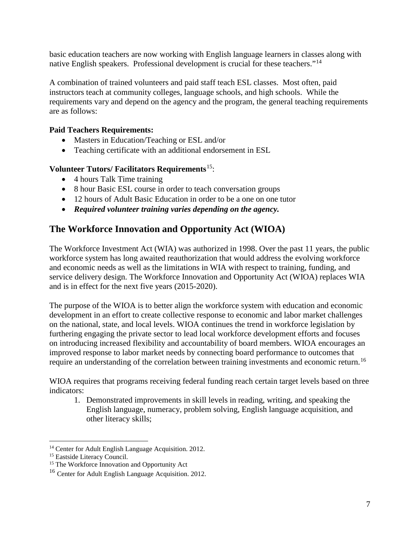basic education teachers are now working with English language learners in classes along with native English speakers. Professional development is crucial for these teachers."[14](#page-6-0)

A combination of trained volunteers and paid staff teach ESL classes. Most often, paid instructors teach at community colleges, language schools, and high schools. While the requirements vary and depend on the agency and the program, the general teaching requirements are as follows:

#### **Paid Teachers Requirements:**

- Masters in Education/Teaching or ESL and/or
- Teaching certificate with an additional endorsement in ESL

#### **Volunteer Tutors/ Facilitators Requirements**[15:](#page-6-1)

- 4 hours Talk Time training
- 8 hour Basic ESL course in order to teach conversation groups
- 12 hours of Adult Basic Education in order to be a one on one tutor
- *Required volunteer training varies depending on the agency.*

## **The Workforce Innovation and Opportunity Act (WIOA)**

The Workforce Investment Act (WIA) was authorized in 1998. Over the past 11 years, the public workforce system has long awaited reauthorization that would address the evolving workforce and economic needs as well as the limitations in WIA with respect to training, funding, and service delivery design. The Workforce Innovation and Opportunity Act (WIOA) replaces WIA and is in effect for the next five years (2015-2020).

The purpose of the WIOA is to better align the workforce system with education and economic development in an effort to create collective response to economic and labor market challenges on the national, state, and local levels. WIOA continues the trend in workforce legislation by furthering engaging the private sector to lead local workforce development efforts and focuses on introducing increased flexibility and accountability of board members. WIOA encourages an improved response to labor market needs by connecting board performance to outcomes that require an understanding of the correlation between training investments and economic return.<sup>[16](#page-6-2)</sup>

WIOA requires that programs receiving federal funding reach certain target levels based on three indicators:

1. Demonstrated improvements in skill levels in reading, writing, and speaking the English language, numeracy, problem solving, English language acquisition, and other literacy skills;

<span id="page-6-0"></span><sup>&</sup>lt;sup>14</sup> Center for Adult English Language Acquisition. 2012.

<sup>&</sup>lt;sup>15</sup> Eastside Literacy Council.

<span id="page-6-1"></span><sup>&</sup>lt;sup>15</sup> The Workforce Innovation and Opportunity Act

<span id="page-6-2"></span><sup>16</sup> Center for Adult English Language Acquisition. 2012.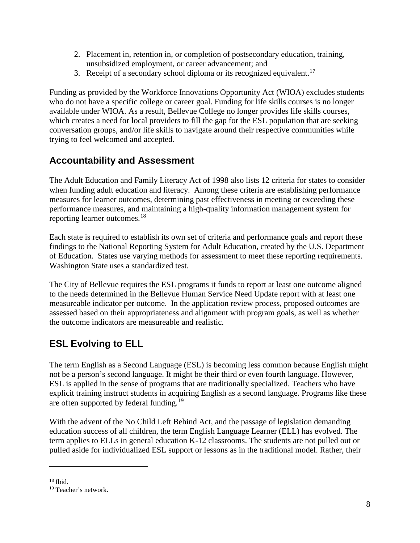- 2. Placement in, retention in, or completion of postsecondary education, training, unsubsidized employment, or career advancement; and
- 3. Receipt of a secondary school diploma or its recognized equivalent.<sup>[17](#page-7-0)</sup>

Funding as provided by the Workforce Innovations Opportunity Act (WIOA) excludes students who do not have a specific college or career goal. Funding for life skills courses is no longer available under WIOA. As a result, Bellevue College no longer provides life skills courses, which creates a need for local providers to fill the gap for the ESL population that are seeking conversation groups, and/or life skills to navigate around their respective communities while trying to feel welcomed and accepted.

## **Accountability and Assessment**

The Adult Education and Family Literacy Act of 1998 also lists 12 criteria for states to consider when funding adult education and literacy. Among these criteria are establishing performance measures for learner outcomes, determining past effectiveness in meeting or exceeding these performance measures, and maintaining a high-quality information management system for reporting learner outcomes.<sup>[18](#page-7-1)</sup>

Each state is required to establish its own set of criteria and performance goals and report these findings to the National Reporting System for Adult Education, created by the U.S. Department of Education. States use varying methods for assessment to meet these reporting requirements. Washington State uses a standardized test.

The City of Bellevue requires the ESL programs it funds to report at least one outcome aligned to the needs determined in the Bellevue Human Service Need Update report with at least one measureable indicator per outcome. In the application review process, proposed outcomes are assessed based on their appropriateness and alignment with program goals, as well as whether the outcome indicators are measureable and realistic.

## **ESL Evolving to ELL**

The term English as a Second Language (ESL) is becoming less common because English might not be a person's second language. It might be their third or even fourth language. However, ESL is applied in the sense of programs that are traditionally specialized. Teachers who have explicit training instruct students in acquiring English as a second language. Programs like these are often supported by federal funding.<sup>[19](#page-7-2)</sup>

With the advent of the No Child Left Behind Act, and the passage of legislation demanding education success of all children, the term English Language Learner (ELL) has evolved. The term applies to ELLs in general education K-12 classrooms. The students are not pulled out or pulled aside for individualized ESL support or lessons as in the traditional model. Rather, their

<span id="page-7-1"></span><span id="page-7-0"></span> $18$  Ibid.

 $\overline{a}$ 

<span id="page-7-2"></span><sup>19</sup> Teacher's network.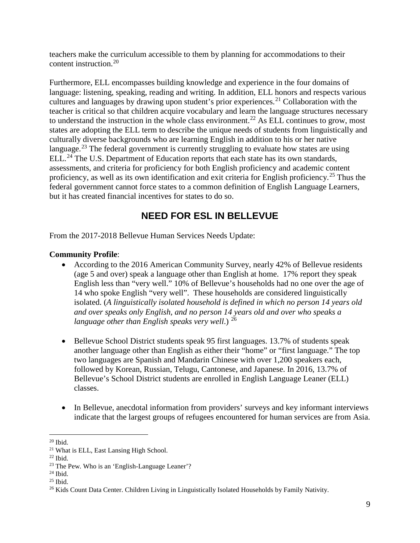teachers make the curriculum accessible to them by planning for accommodations to their content instruction.[20](#page-8-0)

Furthermore, ELL encompasses building knowledge and experience in the four domains of language: listening, speaking, reading and writing. In addition, ELL honors and respects various cultures and languages by drawing upon student's prior experiences.<sup>[21](#page-8-1)</sup> Collaboration with the teacher is critical so that children acquire vocabulary and learn the language structures necessary to understand the instruction in the whole class environment.<sup>[22](#page-8-2)</sup> As ELL continues to grow, most states are adopting the ELL term to describe the unique needs of students from linguistically and culturally diverse backgrounds who are learning English in addition to his or her native language.<sup>[23](#page-8-3)</sup> The federal government is currently struggling to evaluate how states are using ELL.<sup>[24](#page-8-4)</sup> The U.S. Department of Education reports that each state has its own standards, assessments, and criteria for proficiency for both English proficiency and academic content proficiency, as well as its own identification and exit criteria for English proficiency.<sup>[25](#page-8-5)</sup> Thus the federal government cannot force states to a common definition of English Language Learners, but it has created financial incentives for states to do so.

## **NEED FOR ESL IN BELLEVUE**

From the 2017-2018 Bellevue Human Services Needs Update:

#### **Community Profile**:

- According to the 2016 American Community Survey, nearly 42% of Bellevue residents (age 5 and over) speak a language other than English at home. 17% report they speak English less than "very well." 10% of Bellevue's households had no one over the age of 14 who spoke English "very well". These households are considered linguistically isolated. (*A linguistically isolated household is defined in which no person 14 years old and over speaks only English, and no person 14 years old and over who speaks a language other than English speaks very well*.) [26](#page-8-6)
- Bellevue School District students speak 95 first languages. 13.7% of students speak another language other than English as either their "home" or "first language." The top two languages are Spanish and Mandarin Chinese with over 1,200 speakers each, followed by Korean, Russian, Telugu, Cantonese, and Japanese. In 2016, 13.7% of Bellevue's School District students are enrolled in English Language Leaner (ELL) classes.
- In Bellevue, anecdotal information from providers' surveys and key informant interviews indicate that the largest groups of refugees encountered for human services are from Asia.

<span id="page-8-0"></span> $20$  Ibid.

<span id="page-8-1"></span><sup>&</sup>lt;sup>21</sup> What is ELL, East Lansing High School.<br><sup>22</sup> Ibid.

<span id="page-8-2"></span>

<span id="page-8-3"></span><sup>23</sup> The Pew. Who is an 'English-Language Leaner'?

<span id="page-8-4"></span> $24$  Ibid.

<span id="page-8-5"></span> $25$  Ibid.

<span id="page-8-6"></span><sup>&</sup>lt;sup>26</sup> Kids Count Data Center. Children Living in Linguistically Isolated Households by Family Nativity.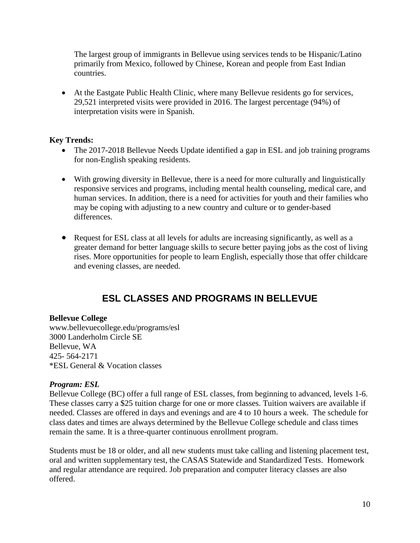The largest group of immigrants in Bellevue using services tends to be Hispanic/Latino primarily from Mexico, followed by Chinese, Korean and people from East Indian countries.

• At the Eastgate Public Health Clinic, where many Bellevue residents go for services, 29,521 interpreted visits were provided in 2016. The largest percentage (94%) of interpretation visits were in Spanish.

#### **Key Trends:**

- The 2017-2018 Bellevue Needs Update identified a gap in ESL and job training programs for non-English speaking residents.
- With growing diversity in Bellevue, there is a need for more culturally and linguistically responsive services and programs, including mental health counseling, medical care, and human services. In addition, there is a need for activities for youth and their families who may be coping with adjusting to a new country and culture or to gender-based differences.
- Request for ESL class at all levels for adults are increasing significantly, as well as a greater demand for better language skills to secure better paying jobs as the cost of living rises. More opportunities for people to learn English, especially those that offer childcare and evening classes, are needed.

## **ESL CLASSES AND PROGRAMS IN BELLEVUE**

#### **Bellevue College**

www.bellevuecollege.edu/programs/esl 3000 Landerholm Circle SE Bellevue, WA 425- 564-2171 \*ESL General & Vocation classes

#### *Program: ESL*

Bellevue College (BC) offer a full range of ESL classes, from beginning to advanced, levels 1-6. These classes carry a \$25 tuition charge for one or more classes. Tuition waivers are available if needed. Classes are offered in days and evenings and are 4 to 10 hours a week. The schedule for class dates and times are always determined by the Bellevue College schedule and class times remain the same. It is a three-quarter continuous enrollment program.

Students must be 18 or older, and all new students must take calling and listening placement test, oral and written supplementary test, the CASAS Statewide and Standardized Tests. Homework and regular attendance are required. Job preparation and computer literacy classes are also offered.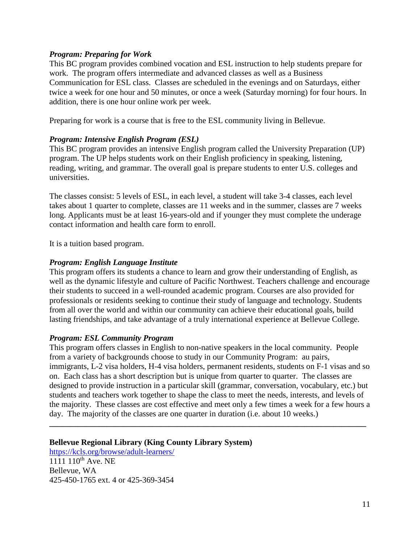#### *Program: Preparing for Work*

This BC program provides combined vocation and ESL instruction to help students prepare for work. The program offers intermediate and advanced classes as well as a Business Communication for ESL class. Classes are scheduled in the evenings and on Saturdays, either twice a week for one hour and 50 minutes, or once a week (Saturday morning) for four hours. In addition, there is one hour online work per week.

Preparing for work is a course that is free to the ESL community living in Bellevue.

#### *Program: Intensive English Program (ESL)*

This BC program provides an intensive English program called the University Preparation (UP) program. The UP helps students work on their English proficiency in speaking, listening, reading, writing, and grammar. The overall goal is prepare students to enter U.S. colleges and universities.

The classes consist: 5 levels of ESL, in each level, a student will take 3-4 classes, each level takes about 1 quarter to complete, classes are 11 weeks and in the summer, classes are 7 weeks long. Applicants must be at least 16-years-old and if younger they must complete the underage contact information and health care form to enroll.

It is a tuition based program.

#### *Program: English Language Institute*

This program offers its students a chance to learn and grow their understanding of English, as well as the dynamic lifestyle and culture of Pacific Northwest. Teachers challenge and encourage their students to succeed in a well-rounded academic program. Courses are also provided for professionals or residents seeking to continue their study of language and technology. Students from all over the world and within our community can achieve their educational goals, build lasting friendships, and take advantage of a truly international experience at Bellevue College.

#### *Program: ESL Community Program*

This program offers classes in English to non-native speakers in the local community. People from a variety of backgrounds choose to study in our Community Program: au pairs, immigrants, L-2 visa holders, H-4 visa holders, permanent residents, students on F-1 visas and so on. Each class has a short description but is unique from quarter to quarter. The classes are designed to provide instruction in a particular skill (grammar, conversation, vocabulary, etc.) but students and teachers work together to shape the class to meet the needs, interests, and levels of the majority. These classes are cost effective and meet only a few times a week for a few hours a day. The majority of the classes are one quarter in duration (i.e. about 10 weeks.)

**\_\_\_\_\_\_\_\_\_\_\_\_\_\_\_\_\_\_\_\_\_\_\_\_\_\_\_\_\_\_\_\_\_\_\_\_\_\_\_\_\_\_\_\_\_\_\_\_\_\_\_\_\_\_\_\_\_\_\_\_\_\_\_\_\_\_\_\_\_\_\_\_\_\_\_\_\_**

#### **Bellevue Regional Library (King County Library System)**

<https://kcls.org/browse/adult-learners/> 1111 110<sup>th</sup> Ave. NE Bellevue, WA 425-450-1765 ext. 4 or 425-369-3454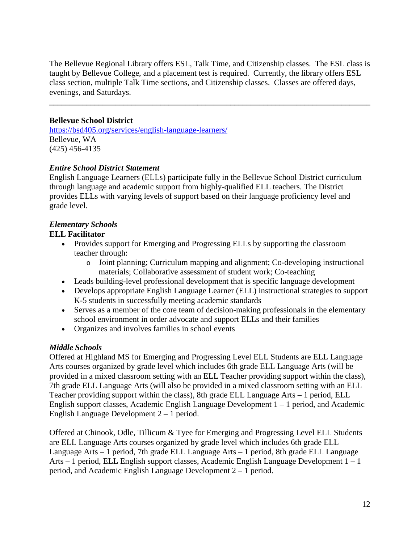The Bellevue Regional Library offers ESL, Talk Time, and Citizenship classes. The ESL class is taught by Bellevue College, and a placement test is required. Currently, the library offers ESL class section, multiple Talk Time sections, and Citizenship classes. Classes are offered days, evenings, and Saturdays.

**\_\_\_\_\_\_\_\_\_\_\_\_\_\_\_\_\_\_\_\_\_\_\_\_\_\_\_\_\_\_\_\_\_\_\_\_\_\_\_\_\_\_\_\_\_\_\_\_\_\_\_\_\_\_\_\_\_\_\_\_\_\_\_\_\_\_\_\_\_\_\_\_\_\_\_\_\_\_**

#### **Bellevue School District**

<https://bsd405.org/services/english-language-learners/> Bellevue, WA (425) 456-4135

#### *Entire School District Statement*

English Language Learners (ELLs) participate fully in the Bellevue School District curriculum through language and academic support from highly-qualified ELL teachers. The District provides ELLs with varying levels of support based on their language proficiency level and grade level.

### *Elementary Schools*

#### **ELL Facilitator**

- Provides support for Emerging and Progressing ELLs by supporting the classroom teacher through:
	- o Joint planning; Curriculum mapping and alignment; Co-developing instructional materials; Collaborative assessment of student work; Co-teaching
- Leads building-level professional development that is specific language development
- Develops appropriate English Language Learner (ELL) instructional strategies to support K-5 students in successfully meeting academic standards
- Serves as a member of the core team of decision-making professionals in the elementary school environment in order advocate and support ELLs and their families
- Organizes and involves families in school events

#### *Middle Schools*

Offered at Highland MS for Emerging and Progressing Level ELL Students are ELL Language Arts courses organized by grade level which includes 6th grade ELL Language Arts (will be provided in a mixed classroom setting with an ELL Teacher providing support within the class), 7th grade ELL Language Arts (will also be provided in a mixed classroom setting with an ELL Teacher providing support within the class), 8th grade ELL Language Arts – 1 period, ELL English support classes, Academic English Language Development 1 – 1 period, and Academic English Language Development 2 – 1 period.

Offered at Chinook, Odle, Tillicum & Tyee for Emerging and Progressing Level ELL Students are ELL Language Arts courses organized by grade level which includes 6th grade ELL Language Arts – 1 period, 7th grade ELL Language Arts – 1 period, 8th grade ELL Language Arts – 1 period, ELL English support classes, Academic English Language Development 1 – 1 period, and Academic English Language Development 2 – 1 period.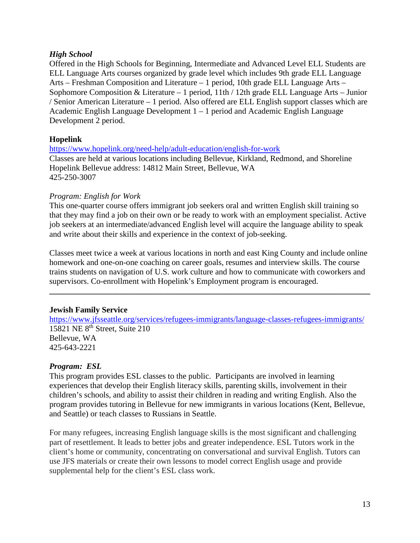#### *High School*

Offered in the High Schools for Beginning, Intermediate and Advanced Level ELL Students are ELL Language Arts courses organized by grade level which includes 9th grade ELL Language Arts – Freshman Composition and Literature – 1 period, 10th grade ELL Language Arts – Sophomore Composition & Literature – 1 period, 11th / 12th grade ELL Language Arts – Junior / Senior American Literature – 1 period. Also offered are ELL English support classes which are Academic English Language Development 1 – 1 period and Academic English Language Development 2 period.

#### **Hopelink**

<https://www.hopelink.org/need-help/adult-education/english-for-work> Classes are held at various locations including Bellevue, Kirkland, Redmond, and Shoreline Hopelink Bellevue address: 14812 Main Street, Bellevue, WA 425-250-3007

#### *Program: English for Work*

This one-quarter course offers immigrant job seekers oral and written English skill training so that they may find a job on their own or be ready to work with an employment specialist. Active job seekers at an intermediate/advanced English level will acquire the language ability to speak and write about their skills and experience in the context of job-seeking.

Classes meet twice a week at various locations in north and east King County and include online homework and one-on-one coaching on career goals, resumes and interview skills. The course trains students on navigation of U.S. work culture and how to communicate with coworkers and supervisors. Co-enrollment with Hopelink's Employment program is encouraged.

**\_\_\_\_\_\_\_\_\_\_\_\_\_\_\_\_\_\_\_\_\_\_\_\_\_\_\_\_\_\_\_\_\_\_\_\_\_\_\_\_\_\_\_\_\_\_\_\_\_\_\_\_\_\_\_\_\_\_\_\_\_\_\_\_\_\_\_\_\_\_\_\_\_\_\_\_\_\_**

#### **Jewish Family Service**

<https://www.jfsseattle.org/services/refugees-immigrants/language-classes-refugees-immigrants/> 15821 NE 8th Street, Suite 210 Bellevue, WA 425-643-2221

#### *Program: ESL*

This program provides ESL classes to the public. Participants are involved in learning experiences that develop their English literacy skills, parenting skills, involvement in their children's schools, and ability to assist their children in reading and writing English. Also the program provides tutoring in Bellevue for new immigrants in various locations (Kent, Bellevue, and Seattle) or teach classes to Russians in Seattle.

For many refugees, increasing English language skills is the most significant and challenging part of resettlement. It leads to better jobs and greater independence. ESL Tutors work in the client's home or community, concentrating on conversational and survival English. Tutors can use JFS materials or create their own lessons to model correct English usage and provide supplemental help for the client's ESL class work.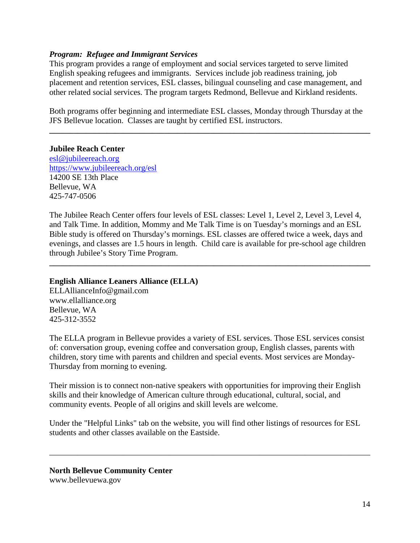#### *Program: Refugee and Immigrant Services*

This program provides a range of employment and social services targeted to serve limited English speaking refugees and immigrants. Services include job readiness training, job placement and retention services, ESL classes, bilingual counseling and case management, and other related social services. The program targets Redmond, Bellevue and Kirkland residents.

Both programs offer beginning and intermediate ESL classes, Monday through Thursday at the JFS Bellevue location. Classes are taught by certified ESL instructors.

**\_\_\_\_\_\_\_\_\_\_\_\_\_\_\_\_\_\_\_\_\_\_\_\_\_\_\_\_\_\_\_\_\_\_\_\_\_\_\_\_\_\_\_\_\_\_\_\_\_\_\_\_\_\_\_\_\_\_\_\_\_\_\_\_\_\_\_\_\_\_\_\_\_\_\_\_\_\_**

#### **Jubilee Reach Center**

[esl@jubileereach.org](mailto:esl@jubileereach.org) <https://www.jubileereach.org/esl> 14200 SE 13th Place Bellevue, WA 425-747-0506

The Jubilee Reach Center offers four levels of ESL classes: Level 1, Level 2, Level 3, Level 4, and Talk Time. In addition, Mommy and Me Talk Time is on Tuesday's mornings and an ESL Bible study is offered on Thursday's mornings. ESL classes are offered twice a week, days and evenings, and classes are 1.5 hours in length. Child care is available for pre-school age children through Jubilee's Story Time Program.

**\_\_\_\_\_\_\_\_\_\_\_\_\_\_\_\_\_\_\_\_\_\_\_\_\_\_\_\_\_\_\_\_\_\_\_\_\_\_\_\_\_\_\_\_\_\_\_\_\_\_\_\_\_\_\_\_\_\_\_\_\_\_\_\_\_\_\_\_\_\_\_\_\_\_\_\_\_\_**

#### **English Alliance Leaners Alliance (ELLA)**

ELLAllianceInfo@gmail.com www.ellalliance.org Bellevue, WA 425-312-3552

The ELLA program in Bellevue provides a variety of ESL services. Those ESL services consist of: conversation group, evening coffee and conversation group, English classes, parents with children, story time with parents and children and special events. Most services are Monday-Thursday from morning to evening.

Their mission is to connect non-native speakers with opportunities for improving their English skills and their knowledge of American culture through educational, cultural, social, and community events. People of all origins and skill levels are welcome.

Under the "Helpful Links" tab on the website, you will find other listings of resources for ESL students and other classes available on the Eastside.

\_\_\_\_\_\_\_\_\_\_\_\_\_\_\_\_\_\_\_\_\_\_\_\_\_\_\_\_\_\_\_\_\_\_\_\_\_\_\_\_\_\_\_\_\_\_\_\_\_\_\_\_\_\_\_\_\_\_\_\_\_\_\_\_\_\_\_\_\_\_\_\_\_\_\_\_\_\_

**North Bellevue Community Center** www.bellevuewa.gov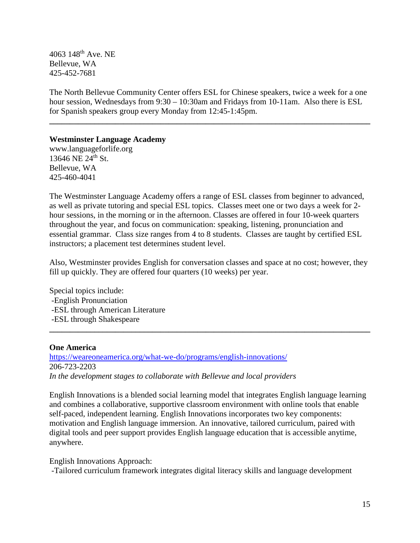4063 148th Ave. NE Bellevue, WA 425-452-7681

The North Bellevue Community Center offers ESL for Chinese speakers, twice a week for a one hour session, Wednesdays from 9:30 – 10:30am and Fridays from 10-11am. Also there is ESL for Spanish speakers group every Monday from 12:45-1:45pm.

**\_\_\_\_\_\_\_\_\_\_\_\_\_\_\_\_\_\_\_\_\_\_\_\_\_\_\_\_\_\_\_\_\_\_\_\_\_\_\_\_\_\_\_\_\_\_\_\_\_\_\_\_\_\_\_\_\_\_\_\_\_\_\_\_\_\_\_\_\_\_\_\_\_\_\_\_\_\_**

#### **Westminster Language Academy**

www.languageforlife.org 13646 NE 24th St. Bellevue, WA 425-460-4041

The Westminster Language Academy offers a range of ESL classes from beginner to advanced, as well as private tutoring and special ESL topics. Classes meet one or two days a week for 2 hour sessions, in the morning or in the afternoon. Classes are offered in four 10-week quarters throughout the year, and focus on communication: speaking, listening, pronunciation and essential grammar. Class size ranges from 4 to 8 students. Classes are taught by certified ESL instructors; a placement test determines student level.

Also, Westminster provides English for conversation classes and space at no cost; however, they fill up quickly. They are offered four quarters (10 weeks) per year.

Special topics include: -English Pronunciation -ESL through American Literature -ESL through Shakespeare **\_\_\_\_\_\_\_\_\_\_\_\_\_\_\_\_\_\_\_\_\_\_\_\_\_\_\_\_\_\_\_\_\_\_\_\_\_\_\_\_\_\_\_\_\_\_\_\_\_\_\_\_\_\_\_\_\_\_\_\_\_\_\_\_\_\_\_\_\_\_\_\_\_\_\_\_\_\_**

#### **One America**

<https://weareoneamerica.org/what-we-do/programs/english-innovations/> 206-723-2203 *In the development stages to collaborate with Bellevue and local providers*

English Innovations is a blended social learning model that integrates English language learning and combines a collaborative, supportive classroom environment with online tools that enable self-paced, independent learning. English Innovations incorporates two key components: motivation and English language immersion. An innovative, tailored curriculum, paired with digital tools and peer support provides English language education that is accessible anytime, anywhere.

English Innovations Approach:

-Tailored curriculum framework integrates digital literacy skills and language development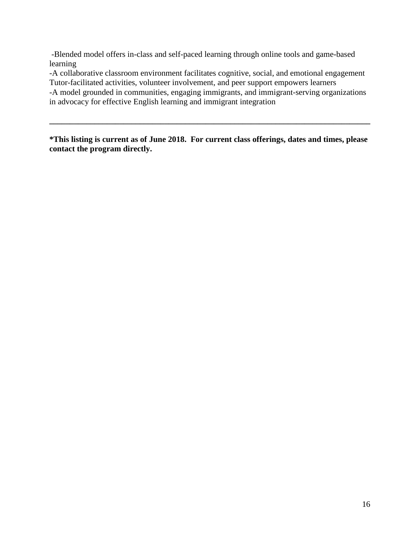-Blended model offers in-class and self-paced learning through online tools and game-based learning

-A collaborative classroom environment facilitates cognitive, social, and emotional engagement Tutor-facilitated activities, volunteer involvement, and peer support empowers learners

-A model grounded in communities, engaging immigrants, and immigrant-serving organizations in advocacy for effective English learning and immigrant integration

**\*This listing is current as of June 2018. For current class offerings, dates and times, please contact the program directly.**

**\_\_\_\_\_\_\_\_\_\_\_\_\_\_\_\_\_\_\_\_\_\_\_\_\_\_\_\_\_\_\_\_\_\_\_\_\_\_\_\_\_\_\_\_\_\_\_\_\_\_\_\_\_\_\_\_\_\_\_\_\_\_\_\_\_\_\_\_\_\_\_\_\_\_\_\_\_\_**